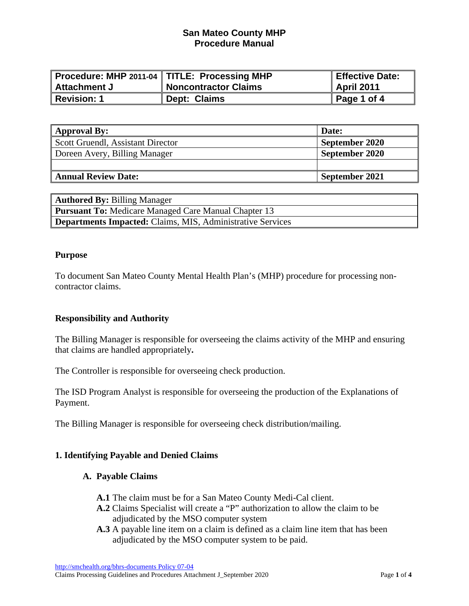|              | Procedure: MHP 2011-04   TITLE: Processing MHP | Effective Date: |
|--------------|------------------------------------------------|-----------------|
| Attachment J | Noncontractor Claims                           | April 2011      |
| Revision: 1  | Dept: Claims                                   | Page 1 of 4     |

| <b>Approval By:</b>               | Date:          |
|-----------------------------------|----------------|
| Scott Gruendl, Assistant Director | September 2020 |
| Doreen Avery, Billing Manager     | September 2020 |
|                                   |                |
| <b>Annual Review Date:</b>        | September 2021 |

| <b>Authored By: Billing Manager</b>                               |  |  |
|-------------------------------------------------------------------|--|--|
| <b>Pursuant To:</b> Medicare Managed Care Manual Chapter 13       |  |  |
| <b>Departments Impacted:</b> Claims, MIS, Administrative Services |  |  |

#### **Purpose**

To document San Mateo County Mental Health Plan's (MHP) procedure for processing noncontractor claims.

### **Responsibility and Authority**

The Billing Manager is responsible for overseeing the claims activity of the MHP and ensuring that claims are handled appropriately**.** 

The Controller is responsible for overseeing check production.

The ISD Program Analyst is responsible for overseeing the production of the Explanations of Payment.

The Billing Manager is responsible for overseeing check distribution/mailing.

### **1. Identifying Payable and Denied Claims**

#### **A. Payable Claims**

- **A.1** The claim must be for a San Mateo County Medi-Cal client.
- **A.2** Claims Specialist will create a "P" authorization to allow the claim to be adjudicated by the MSO computer system
- **A.3** A payable line item on a claim is defined as a claim line item that has been adjudicated by the MSO computer system to be paid.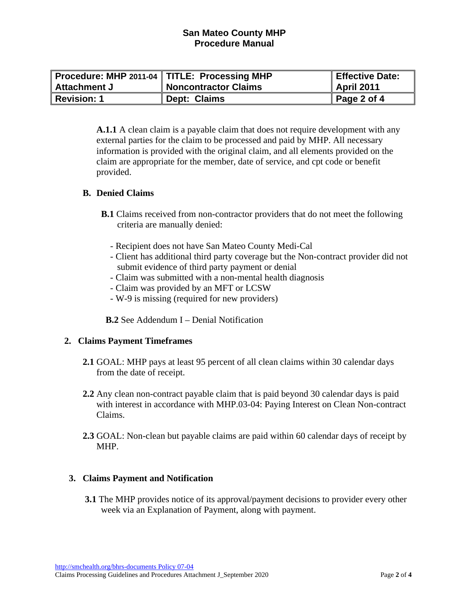|                | Procedure: MHP 2011-04   TITLE: Processing MHP | Effective Date:         |
|----------------|------------------------------------------------|-------------------------|
| ∥ Attachment J | <b>Noncontractor Claims</b>                    | April 2011              |
| Revision: 1    | Dept: Claims                                   | $\parallel$ Page 2 of 4 |

**A.1.1** A clean claim is a payable claim that does not require development with any external parties for the claim to be processed and paid by MHP. All necessary information is provided with the original claim, and all elements provided on the claim are appropriate for the member, date of service, and cpt code or benefit provided.

### **B. Denied Claims**

- **B.1** Claims received from non-contractor providers that do not meet the following criteria are manually denied:
	- Recipient does not have San Mateo County Medi-Cal
	- Client has additional third party coverage but the Non-contract provider did not submit evidence of third party payment or denial
	- Claim was submitted with a non-mental health diagnosis
	- Claim was provided by an MFT or LCSW
	- W-9 is missing (required for new providers)

**B.2** See Addendum I – Denial Notification

### **2. Claims Payment Timeframes**

- **2.1** GOAL: MHP pays at least 95 percent of all clean claims within 30 calendar days from the date of receipt.
- **2.2** Any clean non-contract payable claim that is paid beyond 30 calendar days is paid with interest in accordance with MHP.03-04: Paying Interest on Clean Non-contract Claims.
- **2.3** GOAL: Non-clean but payable claims are paid within 60 calendar days of receipt by MHP.

# **3. Claims Payment and Notification**

 **3.1** The MHP provides notice of its approval/payment decisions to provider every other week via an Explanation of Payment, along with payment.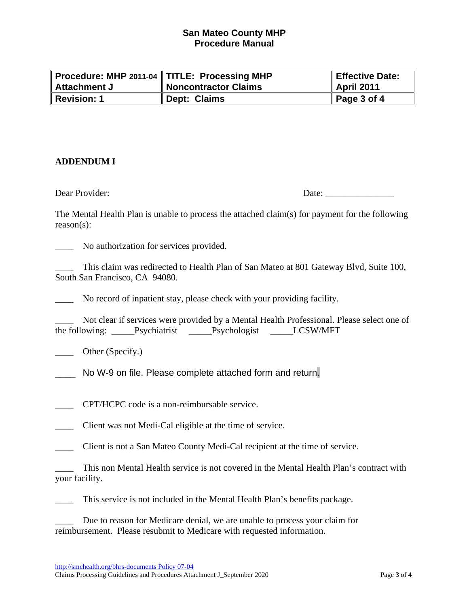|                | Procedure: MHP 2011-04   TITLE: Processing MHP | Effective Date:     |
|----------------|------------------------------------------------|---------------------|
| ∥ Attachment J | <b>Noncontractor Claims</b>                    | <b>April 2011</b>   |
| Revision: 1    | Dept: Claims                                   | $\vert$ Page 3 of 4 |

## **ADDENDUM I**

Dear Provider:

The Mental Health Plan is unable to process the attached claim(s) for payment for the following reason(s):

\_\_\_\_ No authorization for services provided.

\_\_\_\_ This claim was redirected to Health Plan of San Mateo at 801 Gateway Blvd, Suite 100, South San Francisco, CA 94080.

\_\_\_\_ No record of inpatient stay, please check with your providing facility.

Not clear if services were provided by a Mental Health Professional. Please select one of the following: \_\_\_\_\_Psychiatrist \_\_\_\_\_Psychologist \_\_\_\_\_LCSW/MFT

\_\_\_\_ Other (Specify.)

No W-9 on file. Please complete attached form and return.

\_\_\_\_ CPT/HCPC code is a non-reimbursable service.

\_\_\_\_ Client was not Medi-Cal eligible at the time of service.

\_\_\_\_ Client is not a San Mateo County Medi-Cal recipient at the time of service.

This non Mental Health service is not covered in the Mental Health Plan's contract with your facility.

This service is not included in the Mental Health Plan's benefits package.

Due to reason for Medicare denial, we are unable to process your claim for reimbursement. Please resubmit to Medicare with requested information.